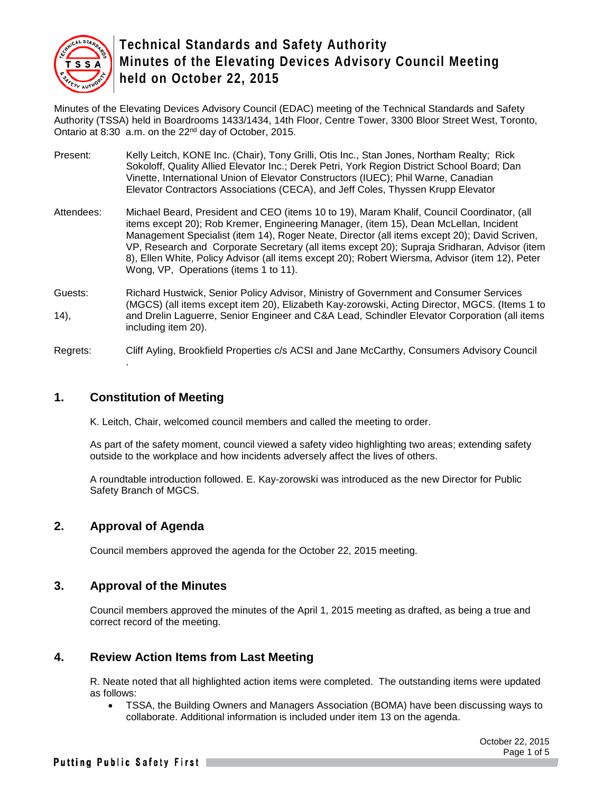

Minutes of the Elevating Devices Advisory Council (EDAC) meeting of the Technical Standards and Safety Authority (TSSA) held in Boardrooms 1433/1434, 14th Floor, Centre Tower, 3300 Bloor Street West, Toronto, Ontario at 8:30 a.m. on the 22nd day of October, 2015.

- Present: Kelly Leitch, KONE Inc. (Chair), Tony Grilli, Otis Inc., Stan Jones, Northam Realty; Rick Sokoloff, Quality Allied Elevator Inc.; Derek Petri, York Region District School Board; Dan Vinette, International Union of Elevator Constructors (IUEC); Phil Warne, Canadian Elevator Contractors Associations (CECA), and Jeff Coles, Thyssen Krupp Elevator
- Attendees: Michael Beard, President and CEO (items 10 to 19), Maram Khalif, Council Coordinator, (all items except 20); Rob Kremer, Engineering Manager, (item 15), Dean McLellan, Incident Management Specialist (item 14), Roger Neate, Director (all items except 20); David Scriven, VP, Research and Corporate Secretary (all items except 20); Supraja Sridharan, Advisor (item 8), Ellen White, Policy Advisor (all items except 20); Robert Wiersma, Advisor (item 12), Peter Wong, VP, Operations (items 1 to 11).
- Guests: Richard Hustwick, Senior Policy Advisor, Ministry of Government and Consumer Services (MGCS) (all items except item 20), Elizabeth Kay-zorowski, Acting Director, MGCS. (Items 1 to 14), and Drelin Laguerre, Senior Engineer and C&A Lead, Schindler Elevator Corporation (all items including item 20).
- Regrets: Cliff Ayling, Brookfield Properties c/s ACSI and Jane McCarthy, Consumers Advisory Council .

#### **1. Constitution of Meeting**

K. Leitch, Chair, welcomed council members and called the meeting to order.

As part of the safety moment, council viewed a safety video highlighting two areas; extending safety outside to the workplace and how incidents adversely affect the lives of others.

A roundtable introduction followed. E. Kay-zorowski was introduced as the new Director for Public Safety Branch of MGCS.

#### **2. Approval of Agenda**

Council members approved the agenda for the October 22, 2015 meeting.

#### **3. Approval of the Minutes**

Council members approved the minutes of the April 1, 2015 meeting as drafted, as being a true and correct record of the meeting.

#### **4. Review Action Items from Last Meeting**

R. Neate noted that all highlighted action items were completed. The outstanding items were updated as follows:

• TSSA, the Building Owners and Managers Association (BOMA) have been discussing ways to collaborate. Additional information is included under item 13 on the agenda.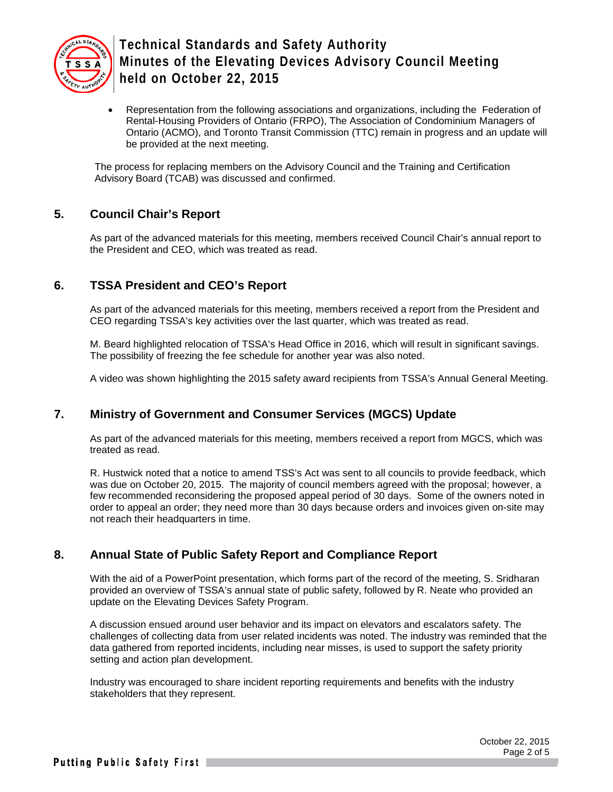

• Representation from the following associations and organizations, including the Federation of Rental-Housing Providers of Ontario (FRPO), The Association of Condominium Managers of Ontario (ACMO), and Toronto Transit Commission (TTC) remain in progress and an update will be provided at the next meeting.

The process for replacing members on the Advisory Council and the Training and Certification Advisory Board (TCAB) was discussed and confirmed.

### **5. Council Chair's Report**

As part of the advanced materials for this meeting, members received Council Chair's annual report to the President and CEO, which was treated as read.

### **6. TSSA President and CEO's Report**

As part of the advanced materials for this meeting, members received a report from the President and CEO regarding TSSA's key activities over the last quarter, which was treated as read.

M. Beard highlighted relocation of TSSA's Head Office in 2016, which will result in significant savings. The possibility of freezing the fee schedule for another year was also noted.

A video was shown highlighting the 2015 safety award recipients from TSSA's Annual General Meeting.

### **7. Ministry of Government and Consumer Services (MGCS) Update**

As part of the advanced materials for this meeting, members received a report from MGCS, which was treated as read.

R. Hustwick noted that a notice to amend TSS's Act was sent to all councils to provide feedback, which was due on October 20, 2015. The majority of council members agreed with the proposal; however, a few recommended reconsidering the proposed appeal period of 30 days. Some of the owners noted in order to appeal an order; they need more than 30 days because orders and invoices given on-site may not reach their headquarters in time.

### **8. Annual State of Public Safety Report and Compliance Report**

With the aid of a PowerPoint presentation, which forms part of the record of the meeting, S. Sridharan provided an overview of TSSA's annual state of public safety, followed by R. Neate who provided an update on the Elevating Devices Safety Program.

A discussion ensued around user behavior and its impact on elevators and escalators safety. The challenges of collecting data from user related incidents was noted. The industry was reminded that the data gathered from reported incidents, including near misses, is used to support the safety priority setting and action plan development.

Industry was encouraged to share incident reporting requirements and benefits with the industry stakeholders that they represent.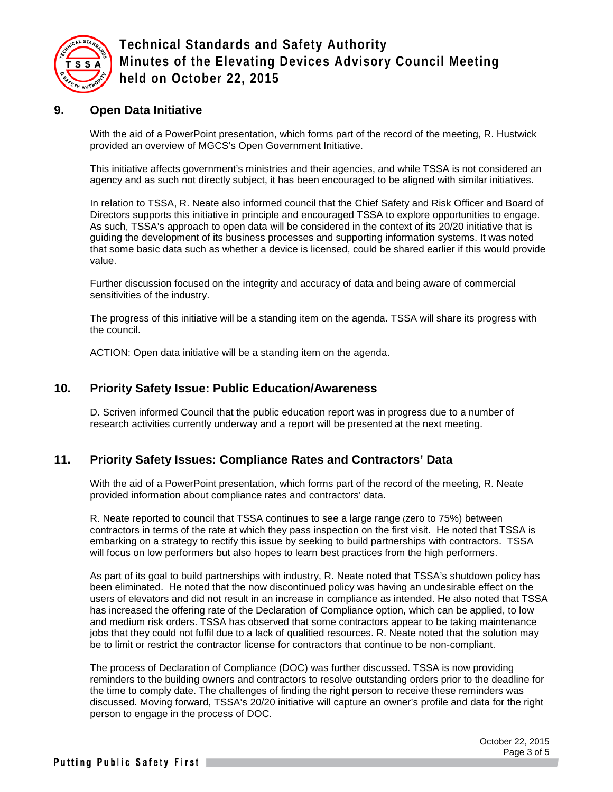

#### **9. Open Data Initiative**

With the aid of a PowerPoint presentation, which forms part of the record of the meeting, R. Hustwick provided an overview of MGCS's Open Government Initiative.

This initiative affects government's ministries and their agencies, and while TSSA is not considered an agency and as such not directly subject, it has been encouraged to be aligned with similar initiatives.

In relation to TSSA, R. Neate also informed council that the Chief Safety and Risk Officer and Board of Directors supports this initiative in principle and encouraged TSSA to explore opportunities to engage. As such, TSSA's approach to open data will be considered in the context of its 20/20 initiative that is guiding the development of its business processes and supporting information systems. It was noted that some basic data such as whether a device is licensed, could be shared earlier if this would provide value.

Further discussion focused on the integrity and accuracy of data and being aware of commercial sensitivities of the industry.

The progress of this initiative will be a standing item on the agenda. TSSA will share its progress with the council.

ACTION: Open data initiative will be a standing item on the agenda.

#### **10. Priority Safety Issue: Public Education/Awareness**

D. Scriven informed Council that the public education report was in progress due to a number of research activities currently underway and a report will be presented at the next meeting.

#### **11. Priority Safety Issues: Compliance Rates and Contractors' Data**

With the aid of a PowerPoint presentation, which forms part of the record of the meeting, R. Neate provided information about compliance rates and contractors' data.

R. Neate reported to council that TSSA continues to see a large range (zero to 75%) between contractors in terms of the rate at which they pass inspection on the first visit. He noted that TSSA is embarking on a strategy to rectify this issue by seeking to build partnerships with contractors. TSSA will focus on low performers but also hopes to learn best practices from the high performers.

As part of its goal to build partnerships with industry, R. Neate noted that TSSA's shutdown policy has been eliminated. He noted that the now discontinued policy was having an undesirable effect on the users of elevators and did not result in an increase in compliance as intended. He also noted that TSSA has increased the offering rate of the Declaration of Compliance option, which can be applied, to low and medium risk orders. TSSA has observed that some contractors appear to be taking maintenance jobs that they could not fulfil due to a lack of qualitied resources. R. Neate noted that the solution may be to limit or restrict the contractor license for contractors that continue to be non-compliant.

The process of Declaration of Compliance (DOC) was further discussed. TSSA is now providing reminders to the building owners and contractors to resolve outstanding orders prior to the deadline for the time to comply date. The challenges of finding the right person to receive these reminders was discussed. Moving forward, TSSA's 20/20 initiative will capture an owner's profile and data for the right person to engage in the process of DOC.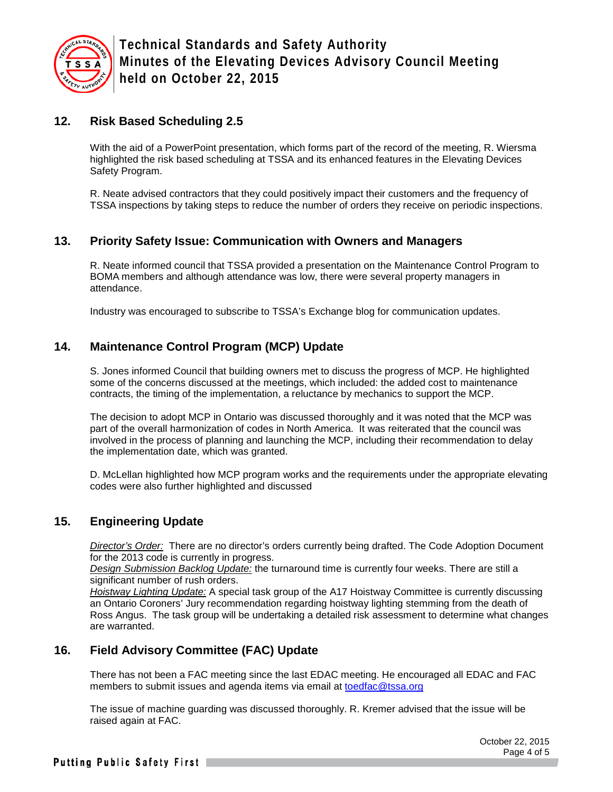

### **12. Risk Based Scheduling 2.5**

With the aid of a PowerPoint presentation, which forms part of the record of the meeting, R. Wiersma highlighted the risk based scheduling at TSSA and its enhanced features in the Elevating Devices Safety Program.

R. Neate advised contractors that they could positively impact their customers and the frequency of TSSA inspections by taking steps to reduce the number of orders they receive on periodic inspections.

### **13. Priority Safety Issue: Communication with Owners and Managers**

R. Neate informed council that TSSA provided a presentation on the Maintenance Control Program to BOMA members and although attendance was low, there were several property managers in attendance.

Industry was encouraged to subscribe to TSSA's Exchange blog for communication updates.

## **14. Maintenance Control Program (MCP) Update**

S. Jones informed Council that building owners met to discuss the progress of MCP. He highlighted some of the concerns discussed at the meetings, which included: the added cost to maintenance contracts, the timing of the implementation, a reluctance by mechanics to support the MCP.

The decision to adopt MCP in Ontario was discussed thoroughly and it was noted that the MCP was part of the overall harmonization of codes in North America. It was reiterated that the council was involved in the process of planning and launching the MCP, including their recommendation to delay the implementation date, which was granted.

D. McLellan highlighted how MCP program works and the requirements under the appropriate elevating codes were also further highlighted and discussed

### **15. Engineering Update**

*Director's Order:* There are no director's orders currently being drafted. The Code Adoption Document for the 2013 code is currently in progress.

*Design Submission Backlog Update:* the turnaround time is currently four weeks. There are still a significant number of rush orders.

*Hoistway Lighting Update:* A special task group of the A17 Hoistway Committee is currently discussing an Ontario Coroners' Jury recommendation regarding hoistway lighting stemming from the death of Ross Angus. The task group will be undertaking a detailed risk assessment to determine what changes are warranted.

### **16. Field Advisory Committee (FAC) Update**

There has not been a FAC meeting since the last EDAC meeting. He encouraged all EDAC and FAC members to submit issues and agenda items via email at toedfac@tssa.org

The issue of machine guarding was discussed thoroughly. R. Kremer advised that the issue will be raised again at FAC.